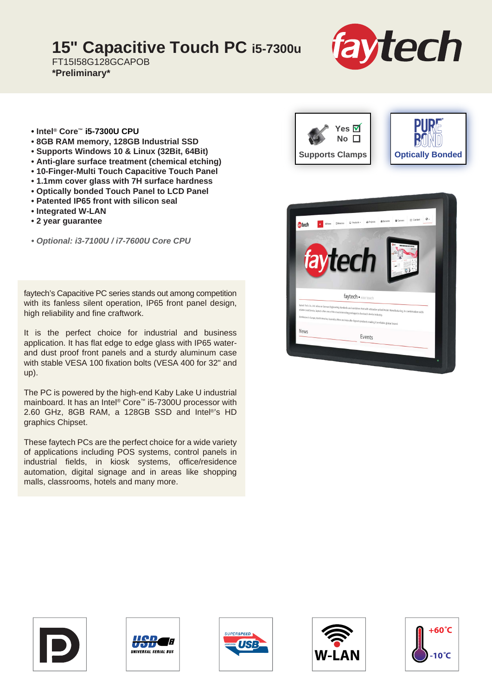## **15" Capacitive Touch PC i5-7300u**

FT15I58G128GCAPOB **\*Preliminary\***



- **Intel® Core™ i5-7300U CPU**
- **8GB RAM memory, 128GB Industrial SSD**
- **Supports Windows 10 & Linux (32Bit, 64Bit)**
- **Anti-glare surface treatment (chemical etching)**
- **10-Finger-Multi Touch Capacitive Touch Panel**
- **1.1mm cover glass with 7H surface hardness**
- **Optically bonded Touch Panel to LCD Panel**
- **Patented IP65 front with silicon seal**
- **Integrated W-LAN**
- **2 year guarantee**

*• Optional: i3-7100U / i7-7600U Core CPU*

faytech's Capacitive PC series stands out among competition with its fanless silent operation, IP65 front panel design, high reliability and fine craftwork.

It is the perfect choice for industrial and business application. It has flat edge to edge glass with IP65 waterand dust proof front panels and a sturdy aluminum case with stable VESA 100 fixation bolts (VESA 400 for 32" and up).

The PC is powered by the high-end Kaby Lake U industrial mainboard. It has an Intel® Core™ i5-7300U processor with 2.60 GHz, 8GB RAM, a 128GB SSD and Intel®'s HD graphics Chipset.

These faytech PCs are the perfect choice for a wide variety of applications including POS systems, control panels in industrial fields, in kiosk systems, office/residence automation, digital signage and in areas like shopping malls, classrooms, hotels and many more.